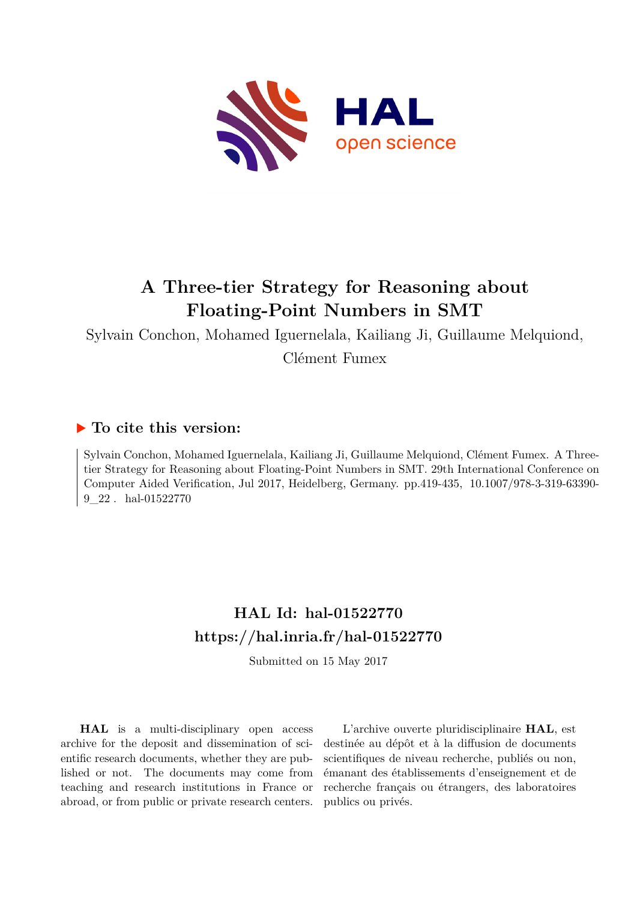

# **A Three-tier Strategy for Reasoning about Floating-Point Numbers in SMT**

Sylvain Conchon, Mohamed Iguernelala, Kailiang Ji, Guillaume Melquiond, Clément Fumex

# **To cite this version:**

Sylvain Conchon, Mohamed Iguernelala, Kailiang Ji, Guillaume Melquiond, Clément Fumex. A Threetier Strategy for Reasoning about Floating-Point Numbers in SMT. 29th International Conference on Computer Aided Verification, Jul 2017, Heidelberg, Germany. pp.419-435, 10.1007/978-3-319-63390- $9\quad22$ . hal- $01522770$ 

# **HAL Id: hal-01522770 <https://hal.inria.fr/hal-01522770>**

Submitted on 15 May 2017

**HAL** is a multi-disciplinary open access archive for the deposit and dissemination of scientific research documents, whether they are published or not. The documents may come from teaching and research institutions in France or abroad, or from public or private research centers.

L'archive ouverte pluridisciplinaire **HAL**, est destinée au dépôt et à la diffusion de documents scientifiques de niveau recherche, publiés ou non, émanant des établissements d'enseignement et de recherche français ou étrangers, des laboratoires publics ou privés.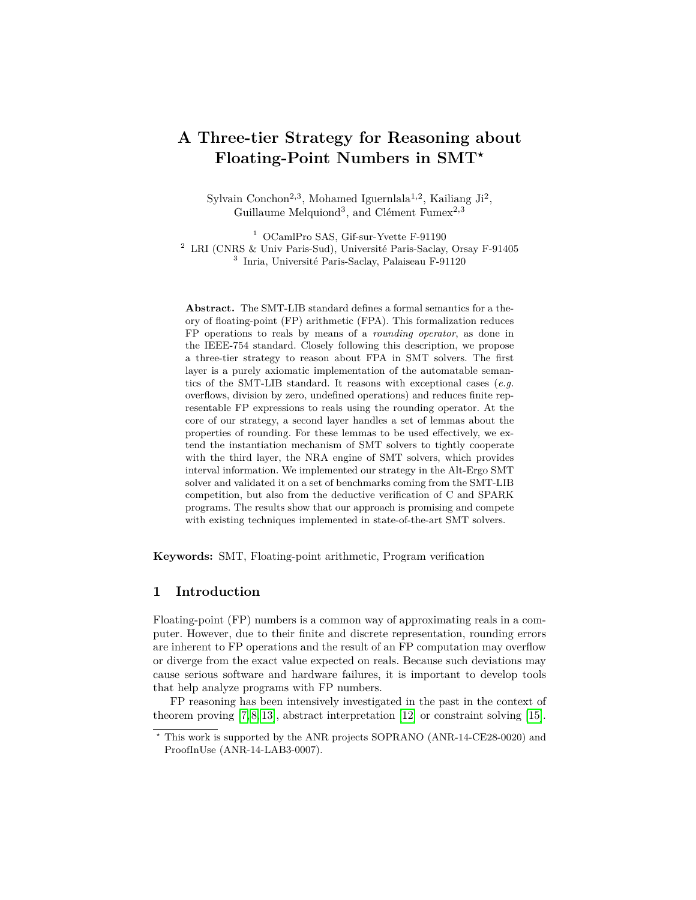# **A Three-tier Strategy for Reasoning about Floating-Point Numbers in SMT***?*

Sylvain Conchon<sup>2,3</sup>, Mohamed Iguernlala<sup>1,2</sup>, Kailiang Ji<sup>2</sup>, Guillaume Melquiond<sup>3</sup>, and Clément Fumex<sup>2,3</sup>

<sup>1</sup> OCamlPro SAS, Gif-sur-Yvette F-91190 <sup>2</sup> LRI (CNRS & Univ Paris-Sud), Université Paris-Saclay, Orsay F-91405 3 Inria, Université Paris-Saclay, Palaiseau F-91120

**Abstract.** The SMT-LIB standard defines a formal semantics for a theory of floating-point (FP) arithmetic (FPA). This formalization reduces FP operations to reals by means of a *rounding operator*, as done in the IEEE-754 standard. Closely following this description, we propose a three-tier strategy to reason about FPA in SMT solvers. The first layer is a purely axiomatic implementation of the automatable semantics of the SMT-LIB standard. It reasons with exceptional cases (*e.g.* overflows, division by zero, undefined operations) and reduces finite representable FP expressions to reals using the rounding operator. At the core of our strategy, a second layer handles a set of lemmas about the properties of rounding. For these lemmas to be used effectively, we extend the instantiation mechanism of SMT solvers to tightly cooperate with the third layer, the NRA engine of SMT solvers, which provides interval information. We implemented our strategy in the Alt-Ergo SMT solver and validated it on a set of benchmarks coming from the SMT-LIB competition, but also from the deductive verification of C and SPARK programs. The results show that our approach is promising and compete with existing techniques implemented in state-of-the-art SMT solvers.

**Keywords:** SMT, Floating-point arithmetic, Program verification

### **1 Introduction**

Floating-point (FP) numbers is a common way of approximating reals in a computer. However, due to their finite and discrete representation, rounding errors are inherent to FP operations and the result of an FP computation may overflow or diverge from the exact value expected on reals. Because such deviations may cause serious software and hardware failures, it is important to develop tools that help analyze programs with FP numbers.

FP reasoning has been intensively investigated in the past in the context of theorem proving [7, 8, 13], abstract interpretation [12] or constraint solving [15].

*<sup>?</sup>* This work is supported by the ANR projects SOPRANO (ANR-14-CE28-0020) and ProofInUse (ANR-14-LAB3-0007).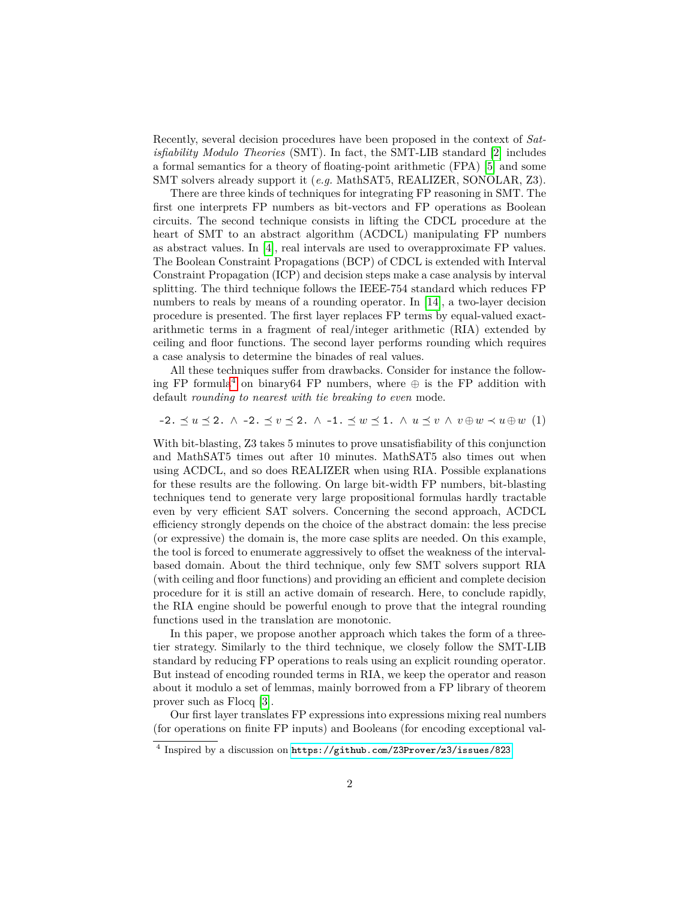Recently, several decision procedures have been proposed in the context of *Satisfiability Modulo Theories* (SMT). In fact, the SMT-LIB standard [2] includes a formal semantics for a theory of floating-point arithmetic (FPA) [5] and some SMT solvers already support it (*e.g.* MathSAT5, REALIZER, SONOLAR, Z3).

There are three kinds of techniques for integrating FP reasoning in SMT. The first one interprets FP numbers as bit-vectors and FP operations as Boolean circuits. The second technique consists in lifting the CDCL procedure at the heart of SMT to an abstract algorithm (ACDCL) manipulating FP numbers as abstract values. In [4], real intervals are used to overapproximate FP values. The Boolean Constraint Propagations (BCP) of CDCL is extended with Interval Constraint Propagation (ICP) and decision steps make a case analysis by interval splitting. The third technique follows the IEEE-754 standard which reduces FP numbers to reals by means of a rounding operator. In [14], a two-layer decision procedure is presented. The first layer replaces FP terms by equal-valued exactarithmetic terms in a fragment of real/integer arithmetic (RIA) extended by ceiling and floor functions. The second layer performs rounding which requires a case analysis to determine the binades of real values.

All these techniques suffer from drawbacks. Consider for instance the following FP formula<sup>4</sup> on binary64 FP numbers, where  $\oplus$  is the FP addition with default *rounding to nearest with tie breaking to even* mode.

#### $-2. \preceq u \preceq 2. \land -2. \preceq v \preceq 2. \land -1. \preceq w \preceq 1. \land u \preceq v \land v \oplus w \prec u \oplus w$  (1)

With bit-blasting, Z3 takes 5 minutes to prove unsatisfiability of this conjunction and MathSAT5 times out after 10 minutes. MathSAT5 also times out when using ACDCL, and so does REALIZER when using RIA. Possible explanations for these results are the following. On large bit-width FP numbers, bit-blasting techniques tend to generate very large propositional formulas hardly tractable even by very efficient SAT solvers. Concerning the second approach, ACDCL efficiency strongly depends on the choice of the abstract domain: the less precise (or expressive) the domain is, the more case splits are needed. On this example, the tool is forced to enumerate aggressively to offset the weakness of the intervalbased domain. About the third technique, only few SMT solvers support RIA (with ceiling and floor functions) and providing an efficient and complete decision procedure for it is still an active domain of research. Here, to conclude rapidly, the RIA engine should be powerful enough to prove that the integral rounding functions used in the translation are monotonic.

In this paper, we propose another approach which takes the form of a threetier strategy. Similarly to the third technique, we closely follow the SMT-LIB standard by reducing FP operations to reals using an explicit rounding operator. But instead of encoding rounded terms in RIA, we keep the operator and reason about it modulo a set of lemmas, mainly borrowed from a FP library of theorem prover such as Flocq [3].

Our first layer translates FP expressions into expressions mixing real numbers (for operations on finite FP inputs) and Booleans (for encoding exceptional val-

<sup>4</sup> Inspired by a discussion on <https://github.com/Z3Prover/z3/issues/823>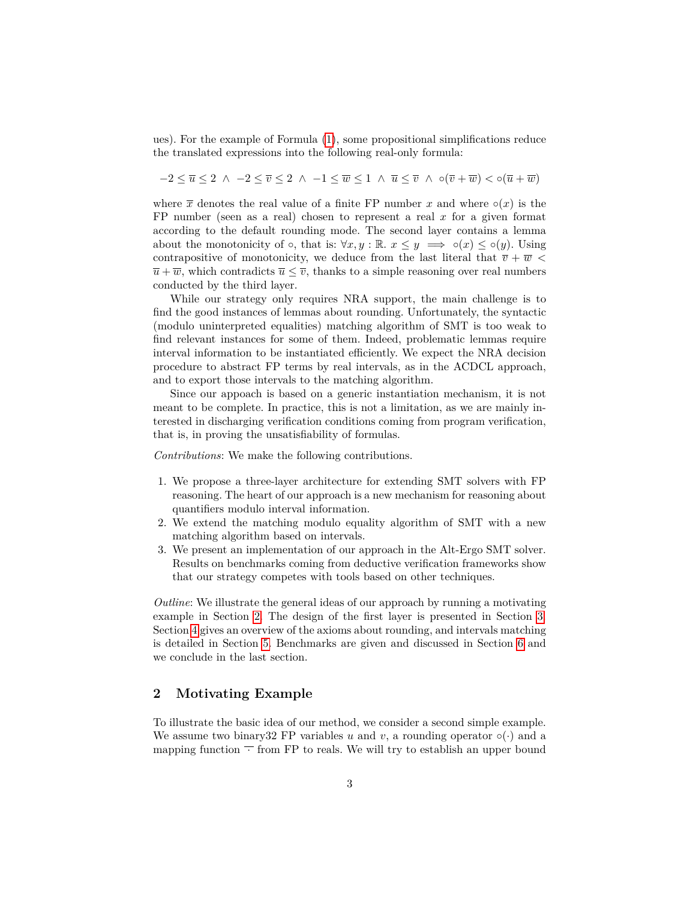ues). For the example of Formula (1), some propositional simplifications reduce the translated expressions into the following real-only formula:

 $-2 \leq \overline{u} \leq 2 \land -2 \leq \overline{v} \leq 2 \land -1 \leq \overline{w} \leq 1 \land \overline{u} \leq \overline{v} \land \circ (\overline{v} + \overline{w}) \leq \circ (\overline{u} + \overline{w})$ 

where  $\bar{x}$  denotes the real value of a finite FP number *x* and where  $\circ(x)$  is the FP number (seen as a real) chosen to represent a real *x* for a given format according to the default rounding mode. The second layer contains a lemma about the monotonicity of  $\circ$ , that is:  $\forall x, y : \mathbb{R} \to z \leq y \implies \circ(x) \leq \circ(y)$ . Using contrapositive of monotonicity, we deduce from the last literal that  $\overline{v} + \overline{w}$  $\overline{u} + \overline{w}$ , which contradicts  $\overline{u} \leq \overline{v}$ , thanks to a simple reasoning over real numbers conducted by the third layer.

While our strategy only requires NRA support, the main challenge is to find the good instances of lemmas about rounding. Unfortunately, the syntactic (modulo uninterpreted equalities) matching algorithm of SMT is too weak to find relevant instances for some of them. Indeed, problematic lemmas require interval information to be instantiated efficiently. We expect the NRA decision procedure to abstract FP terms by real intervals, as in the ACDCL approach, and to export those intervals to the matching algorithm.

Since our appoach is based on a generic instantiation mechanism, it is not meant to be complete. In practice, this is not a limitation, as we are mainly interested in discharging verification conditions coming from program verification, that is, in proving the unsatisfiability of formulas.

*Contributions*: We make the following contributions.

- 1. We propose a three-layer architecture for extending SMT solvers with FP reasoning. The heart of our approach is a new mechanism for reasoning about quantifiers modulo interval information.
- 2. We extend the matching modulo equality algorithm of SMT with a new matching algorithm based on intervals.
- 3. We present an implementation of our approach in the Alt-Ergo SMT solver. Results on benchmarks coming from deductive verification frameworks show that our strategy competes with tools based on other techniques.

*Outline*: We illustrate the general ideas of our approach by running a motivating example in Section 2. The design of the first layer is presented in Section 3. Section 4 gives an overview of the axioms about rounding, and intervals matching is detailed in Section 5. Benchmarks are given and discussed in Section 6 and we conclude in the last section.

# **2 Motivating Example**

To illustrate the basic idea of our method, we consider a second simple example. We assume two binary 32 FP variables *u* and *v*, a rounding operator  $\circ(\cdot)$  and a mapping function  $\overline{\phantom{a}}$  from FP to reals. We will try to establish an upper bound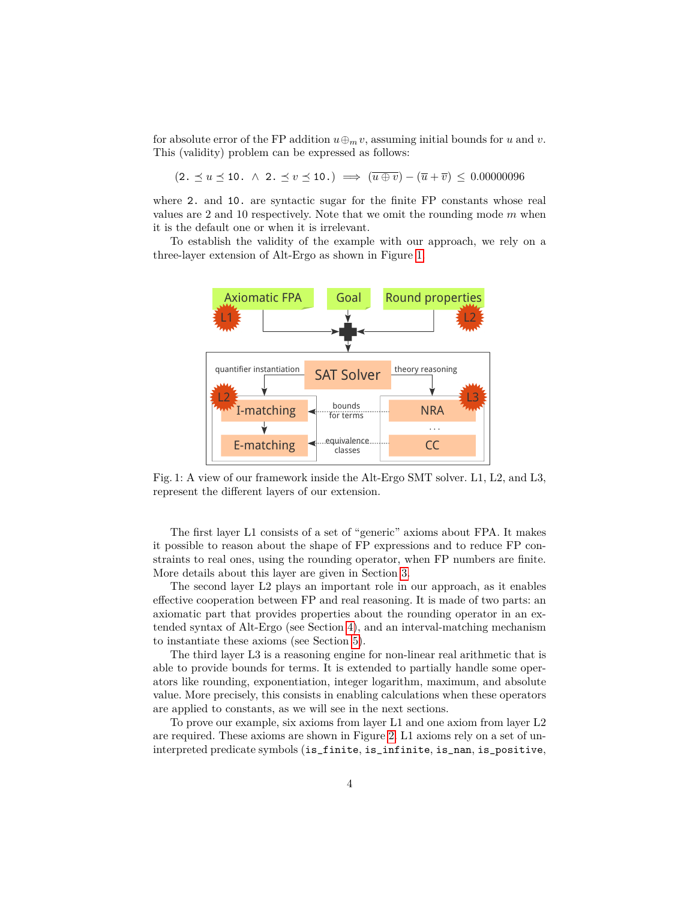for absolute error of the FP addition  $u \oplus_m v$ , assuming initial bounds for *u* and *v*. This (validity) problem can be expressed as follows:

 $(2. \preceq u \preceq 10. \land 2. \preceq v \preceq 10.) \implies (\overline{u \oplus v}) - (\overline{u} + \overline{v}) \preceq 0.00000096$ 

where 2. and 10. are syntactic sugar for the finite FP constants whose real values are 2 and 10 respectively. Note that we omit the rounding mode *m* when it is the default one or when it is irrelevant.

To establish the validity of the example with our approach, we rely on a three-layer extension of Alt-Ergo as shown in Figure 1.



Fig. 1: A view of our framework inside the Alt-Ergo SMT solver. L1, L2, and L3, represent the different layers of our extension.

The first layer L1 consists of a set of "generic" axioms about FPA. It makes it possible to reason about the shape of FP expressions and to reduce FP constraints to real ones, using the rounding operator, when FP numbers are finite. More details about this layer are given in Section 3.

The second layer L2 plays an important role in our approach, as it enables effective cooperation between FP and real reasoning. It is made of two parts: an axiomatic part that provides properties about the rounding operator in an extended syntax of Alt-Ergo (see Section 4), and an interval-matching mechanism to instantiate these axioms (see Section 5).

The third layer L3 is a reasoning engine for non-linear real arithmetic that is able to provide bounds for terms. It is extended to partially handle some operators like rounding, exponentiation, integer logarithm, maximum, and absolute value. More precisely, this consists in enabling calculations when these operators are applied to constants, as we will see in the next sections.

To prove our example, six axioms from layer L1 and one axiom from layer L2 are required. These axioms are shown in Figure 2. L1 axioms rely on a set of uninterpreted predicate symbols (is\_finite, is\_infinite, is\_nan, is\_positive,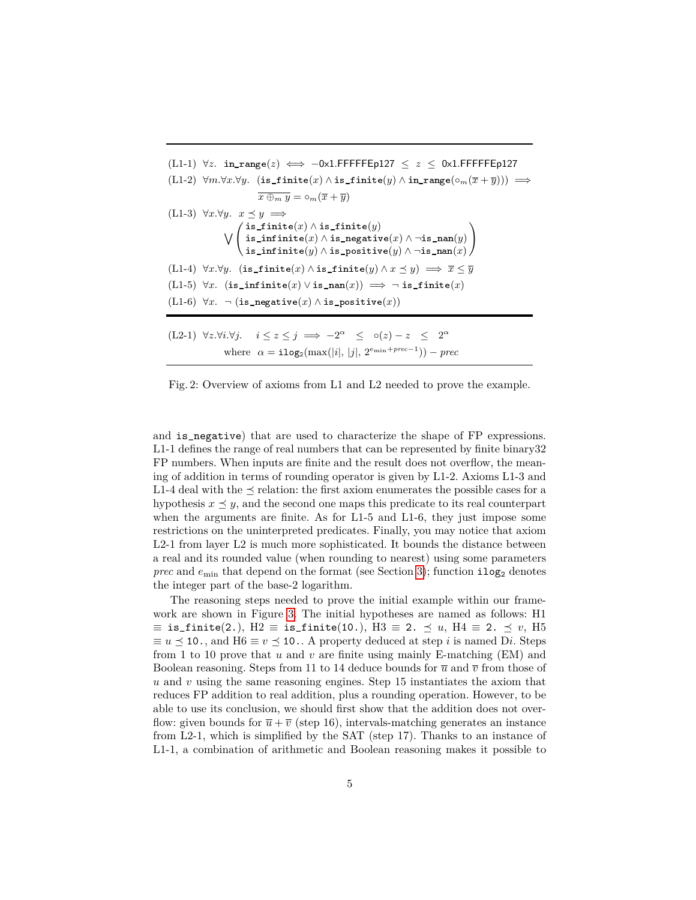| $(L1-1)$ $\forall z$ . in range $(z) \iff -0x1$ .FFFFFEp127 $\leq z \leq 0x1$ .FFFFFEp127                                                                                                                                                                                                                   |
|-------------------------------------------------------------------------------------------------------------------------------------------------------------------------------------------------------------------------------------------------------------------------------------------------------------|
| $(L1-2)$ $\forall m.\forall x.\forall y.$ (is_finite(x) $\land$ is_finite(y) $\land$ in_range( $\circ_m(\overline{x} + \overline{y}))$ ) $\implies$                                                                                                                                                         |
| $\overline{x \oplus_m y} = \circ_m(\overline{x} + \overline{y})$                                                                                                                                                                                                                                            |
| $(L1-3)$ $\forall x.\forall y.\quad x \prec y \implies$                                                                                                                                                                                                                                                     |
|                                                                                                                                                                                                                                                                                                             |
| $\bigvee \left( \begin{smallmatrix} \texttt{is\_finite}(x) \wedge \texttt{is\_finite}(y) \\ \texttt{is\_infinite}(x) \wedge \texttt{is\_negative}(x) \wedge \neg \texttt{is\_nan}(y) \\ \texttt{is\_infinite}(y) \wedge \texttt{is\_positive}(y) \wedge \neg \texttt{is\_nan}(x) \end{smallmatrix} \right)$ |
|                                                                                                                                                                                                                                                                                                             |
| (L1-4) $\forall x.\forall y.$ (is_finite(x) $\land$ is_finite(y) $\land x \preceq y$ ) $\implies \overline{x} \leq \overline{y}$                                                                                                                                                                            |
| (L1-5) $\forall x.$ (is_infinite(x) $\lor$ is_nan(x)) $\implies \neg$ is_finite(x)                                                                                                                                                                                                                          |
| $(L1-6)$ $\forall x. \neg (is\_negative(x) \land is\_positive(x))$                                                                                                                                                                                                                                          |
|                                                                                                                                                                                                                                                                                                             |
| $(L2-1)$ $\forall z.\forall i.\forall j.$ $i \leq z \leq j \implies -2^{\alpha} \leq o(z) - z \leq 2^{\alpha}$                                                                                                                                                                                              |
| where $\alpha = \textbf{ilog}_2(\max( i ,  j , 2^{e_{\min} + prec-1})) - prec$                                                                                                                                                                                                                              |

Fig. 2: Overview of axioms from L1 and L2 needed to prove the example.

and is\_negative) that are used to characterize the shape of FP expressions. L1-1 defines the range of real numbers that can be represented by finite binary32 FP numbers. When inputs are finite and the result does not overflow, the meaning of addition in terms of rounding operator is given by L1-2. Axioms L1-3 and L1-4 deal with the  $\preceq$  relation: the first axiom enumerates the possible cases for a hypothesis  $x \leq y$ , and the second one maps this predicate to its real counterpart when the arguments are finite. As for L1-5 and L1-6, they just impose some restrictions on the uninterpreted predicates. Finally, you may notice that axiom L2-1 from layer L2 is much more sophisticated. It bounds the distance between a real and its rounded value (when rounding to nearest) using some parameters *prec* and  $e_{\min}$  that depend on the format (see Section 3); function  $i \log_2$  denotes the integer part of the base-2 logarithm.

The reasoning steps needed to prove the initial example within our framework are shown in Figure 3. The initial hypotheses are named as follows: H1  $\equiv$  is\_finite(2.), H2  $\equiv$  is\_finite(10.), H3  $\equiv$  2.  $\preceq u$ , H4  $\equiv$  2.  $\preceq v$ , H5  $\equiv u \leq 10$ , and  $H6 \equiv v \leq 10$ . A property deduced at step *i* is named D*i*. Steps from 1 to 10 prove that *u* and *v* are finite using mainly E-matching (EM) and Boolean reasoning. Steps from 11 to 14 deduce bounds for  $\overline{u}$  and  $\overline{v}$  from those of *u* and *v* using the same reasoning engines. Step 15 instantiates the axiom that reduces FP addition to real addition, plus a rounding operation. However, to be able to use its conclusion, we should first show that the addition does not overflow: given bounds for  $\bar{u} + \bar{v}$  (step 16), intervals-matching generates an instance from L2-1, which is simplified by the SAT (step 17). Thanks to an instance of L1-1, a combination of arithmetic and Boolean reasoning makes it possible to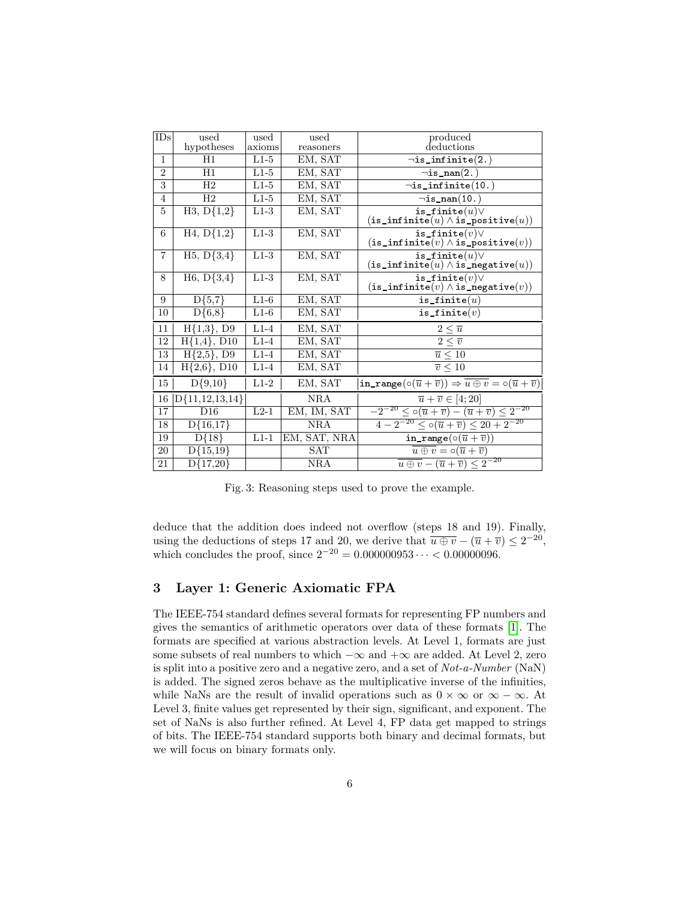| IDs             | used                      | used   | used         | produced                                                                                                                                             |
|-----------------|---------------------------|--------|--------------|------------------------------------------------------------------------------------------------------------------------------------------------------|
|                 | hypotheses                | axioms | reasoners    | deductions                                                                                                                                           |
| 1               | H1                        | $L1-5$ | EM, SAT      | $\neg$ is_infinite $(2.)$                                                                                                                            |
| $\overline{2}$  | H1                        | $L1-5$ | EM, SAT      | $\neg$ is_nan $(2.)$                                                                                                                                 |
| $\overline{3}$  | H <sub>2</sub>            | $L1-5$ | EM, SAT      | $\neg$ is_infinite $(10.)$                                                                                                                           |
| $\overline{4}$  | H2                        | $L1-5$ | EM, SAT      | $\neg$ is_nan $(10.)$                                                                                                                                |
| 5               | $\overline{H3, D\{1,2\}}$ | $L1-3$ | EM, SAT      | $\overline{\texttt{is\_finite}(u)} \vee$<br>$(\mathtt{is\_infinite}(u) \land \mathtt{is\_positive}(u))$                                              |
| 6               | $\overline{H4, D}$ {1,2}  | $L1-3$ | EM, SAT      | is_finite $(v)$ $\vee$<br>$(\mathtt{is\_infinite}(v) \land \mathtt{is\_positive}(v))$                                                                |
| $\overline{7}$  | $H5, D{3,4}$              | $L1-3$ | EM, SAT      | is_finite $(u)$ $\vee$<br>$(\mathtt{is\_infinite}(u) \land \mathtt{is\_negative}(u))$                                                                |
| 8               | $H6, D{3,4}$              | $L1-3$ | EM, SAT      | is_finite $(v) \vee$<br>$(\mathtt{is\_infinite}(v) \wedge \mathtt{is\_negative}(v))$                                                                 |
| 9               | $\overline{D\{5,7\}}$     | $L1-6$ | EM, SAT      | is_finite $(u)$                                                                                                                                      |
| 10              | $D{6,8}$                  | $L1-6$ | EM, SAT      | is_finite $(v)$                                                                                                                                      |
| 11              | $H{1,3}, D9$              | $L1-4$ | EM, SAT      | $2\leq \overline{u}$                                                                                                                                 |
| 12              | $H{1,4}, D10$             | $L1-4$ | EM, SAT      | $2 \leq \overline{v}$                                                                                                                                |
| $\overline{13}$ | $H{2,5}, D9$              | $L1-4$ | EM, SAT      | $\overline{u} \leq 10$                                                                                                                               |
| 14              | $H{2,6}, D10$             | $L1-4$ | EM, SAT      | $\overline{v} \leq 10$                                                                                                                               |
| 15              | $D{9,10}$                 | $L1-2$ | EM, SAT      | $\verb"in_range"\left(\circ\left(\overline{u}+\overline{v}\right)\right)\Rightarrow\overline{u\oplus v}=\circ\left(\overline{u}+\overline{v}\right)$ |
| 16              | $D{11,12,13,14}$          |        | <b>NRA</b>   | $\overline{u} + \overline{v} \in [4; 20]$                                                                                                            |
| 17              | D16                       | $L2-1$ | EM, IM, SAT  | $\sqrt{-2^{-20} \leq \circ (\overline{u} + \overline{v}) - (\overline{u} + \overline{v})} \leq 2^{-20}$                                              |
| 18              | $D{16,17}$                |        | NRA          | $4-2^{-20} \leq \circ (\overline{u}+\overline{v}) \leq 20+2^{-20}$                                                                                   |
| 19              | $D{18}$                   | $L1-1$ | EM, SAT, NRA | in_range( $\circ (\overline{u} + \overline{v})$ )                                                                                                    |
| 20              | $D{15,19}$                |        | SAT          | $\overline{u\oplus v} = \circ(\overline{u} + \overline{v})$                                                                                          |
| 21              | $D{17,20}$                |        | <b>NRA</b>   | $\overline{u \oplus v} - (\overline{u} + \overline{v}) \leq 2^{-20}$                                                                                 |
|                 |                           |        |              |                                                                                                                                                      |

Fig. 3: Reasoning steps used to prove the example.

deduce that the addition does indeed not overflow (steps 18 and 19). Finally, using the deductions of steps 17 and 20, we derive that  $\overline{u \oplus v} - (\overline{u} + \overline{v}) \leq 2^{-20}$ , which concludes the proof, since  $2^{-20} = 0.000000953 \cdots < 0.00000096$ .

# **3 Layer 1: Generic Axiomatic FPA**

The IEEE-754 standard defines several formats for representing FP numbers and gives the semantics of arithmetic operators over data of these formats [1]. The formats are specified at various abstraction levels. At Level 1, formats are just some subsets of real numbers to which  $-\infty$  and  $+\infty$  are added. At Level 2, zero is split into a positive zero and a negative zero, and a set of *Not-a-Number* (NaN) is added. The signed zeros behave as the multiplicative inverse of the infinities, while NaNs are the result of invalid operations such as  $0 \times \infty$  or  $\infty - \infty$ . At Level 3, finite values get represented by their sign, significant, and exponent. The set of NaNs is also further refined. At Level 4, FP data get mapped to strings of bits. The IEEE-754 standard supports both binary and decimal formats, but we will focus on binary formats only.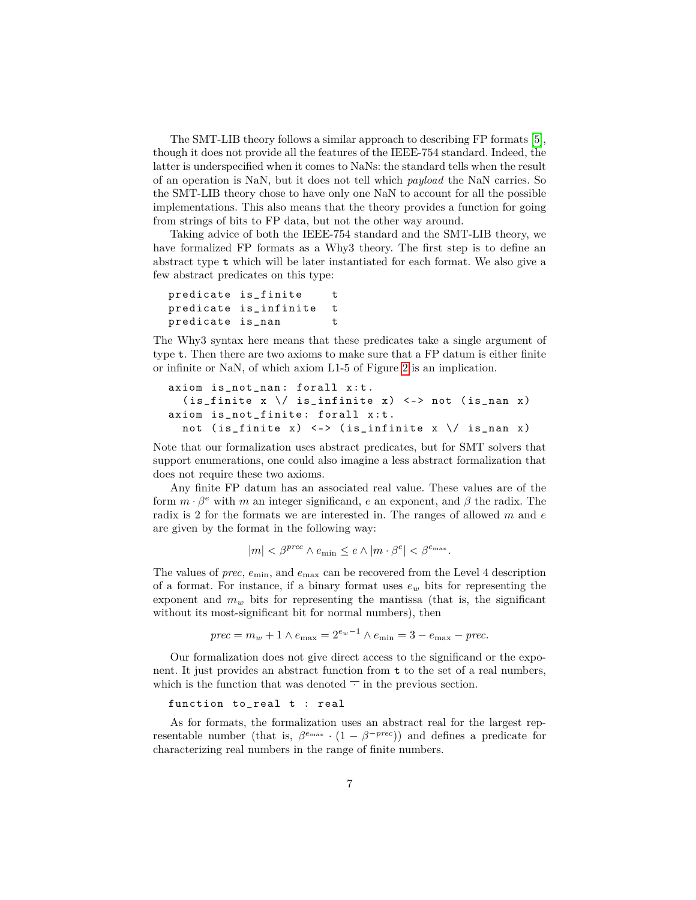The SMT-LIB theory follows a similar approach to describing FP formats [5], though it does not provide all the features of the IEEE-754 standard. Indeed, the latter is underspecified when it comes to NaNs: the standard tells when the result of an operation is NaN, but it does not tell which *payload* the NaN carries. So the SMT-LIB theory chose to have only one NaN to account for all the possible implementations. This also means that the theory provides a function for going from strings of bits to FP data, but not the other way around.

Taking advice of both the IEEE-754 standard and the SMT-LIB theory, we have formalized FP formats as a Why3 theory. The first step is to define an abstract type t which will be later instantiated for each format. We also give a few abstract predicates on this type:

```
predicate is_finite t
predicate is_infinite t
predicate is_nan t
```
The Why3 syntax here means that these predicates take a single argument of type t. Then there are two axioms to make sure that a FP datum is either finite or infinite or NaN, of which axiom L1-5 of Figure 2 is an implication.

```
axiom is_not_nan: forall x:t.
  (is_finite x \ \n\vee\ is_infinite x) \ \n\lt\to not \ (is\_nan x)axiom is_not_finite: forall x:t.
  not (is_finite x) \langle - \rangle (is_infinite x \setminus is_nan x)
```
Note that our formalization uses abstract predicates, but for SMT solvers that support enumerations, one could also imagine a less abstract formalization that does not require these two axioms.

Any finite FP datum has an associated real value. These values are of the form  $m \cdot \beta^e$  with  $m$  an integer significand,  $e$  an exponent, and  $\beta$  the radix. The radix is 2 for the formats we are interested in. The ranges of allowed *m* and *e* are given by the format in the following way:

$$
|m| < \beta^{prec} \wedge e_{\min} \le e \wedge |m \cdot \beta^e| < \beta^{e_{\max}}.
$$

The values of *prec*,  $e_{\min}$ , and  $e_{\max}$  can be recovered from the Level 4 description of a format. For instance, if a binary format uses  $e_w$  bits for representing the exponent and  $m_w$  bits for representing the mantissa (that is, the significant without its most-significant bit for normal numbers), then

*prec* =  $m_w + 1 \wedge e_{\text{max}} = 2^{e_w - 1} \wedge e_{\text{min}} = 3 - e_{\text{max}} - \text{prec}.$ 

Our formalization does not give direct access to the significand or the exponent. It just provides an abstract function from t to the set of a real numbers, which is the function that was denoted  $\overline{\phantom{a}}$  in the previous section.

function to\_real t : real

As for formats, the formalization uses an abstract real for the largest representable number (that is,  $\beta^{e_{\text{max}}} \cdot (1 - \beta^{-prec})$ ) and defines a predicate for characterizing real numbers in the range of finite numbers.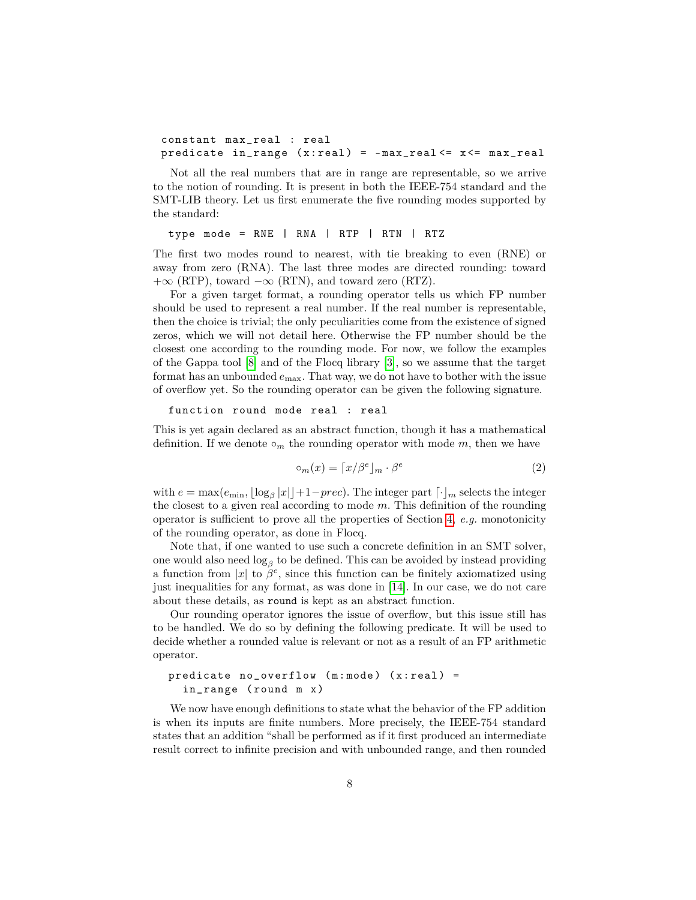```
constant max_real : real
predicate in_range (x:real) = -max\_real \le x \le max\_real
```
Not all the real numbers that are in range are representable, so we arrive to the notion of rounding. It is present in both the IEEE-754 standard and the SMT-LIB theory. Let us first enumerate the five rounding modes supported by the standard:

type mode = RNE | RNA | RTP | RTN | RTZ

The first two modes round to nearest, with tie breaking to even (RNE) or away from zero (RNA). The last three modes are directed rounding: toward  $+\infty$  (RTP), toward  $-\infty$  (RTN), and toward zero (RTZ).

For a given target format, a rounding operator tells us which FP number should be used to represent a real number. If the real number is representable, then the choice is trivial; the only peculiarities come from the existence of signed zeros, which we will not detail here. Otherwise the FP number should be the closest one according to the rounding mode. For now, we follow the examples of the Gappa tool [8] and of the Flocq library [3], so we assume that the target format has an unbounded *e*max. That way, we do not have to bother with the issue of overflow yet. So the rounding operator can be given the following signature.

```
function round mode real : real
```
This is yet again declared as an abstract function, though it has a mathematical definition. If we denote  $\circ_m$  the rounding operator with mode  $m$ , then we have

$$
\circ_m(x) = \lceil x/\beta^e \rfloor_m \cdot \beta^e \tag{2}
$$

with  $e = \max(e_{\min}, \lfloor \log_{\beta} |x| \rfloor + 1 - prec)$ . The integer part  $\lceil \cdot \rfloor_m$  selects the integer the closest to a given real according to mode *m*. This definition of the rounding operator is sufficient to prove all the properties of Section 4, *e.g.* monotonicity of the rounding operator, as done in Flocq.

Note that, if one wanted to use such a concrete definition in an SMT solver, one would also need  $log_\beta$  to be defined. This can be avoided by instead providing a function from |*x*| to  $\beta^e$ , since this function can be finitely axiomatized using just inequalities for any format, as was done in [14]. In our case, we do not care about these details, as round is kept as an abstract function.

Our rounding operator ignores the issue of overflow, but this issue still has to be handled. We do so by defining the following predicate. It will be used to decide whether a rounded value is relevant or not as a result of an FP arithmetic operator.

#### predicate  $no\_overflow$  (m:mode) (x:real) = in\_range ( round m x )

We now have enough definitions to state what the behavior of the FP addition is when its inputs are finite numbers. More precisely, the IEEE-754 standard states that an addition "shall be performed as if it first produced an intermediate result correct to infinite precision and with unbounded range, and then rounded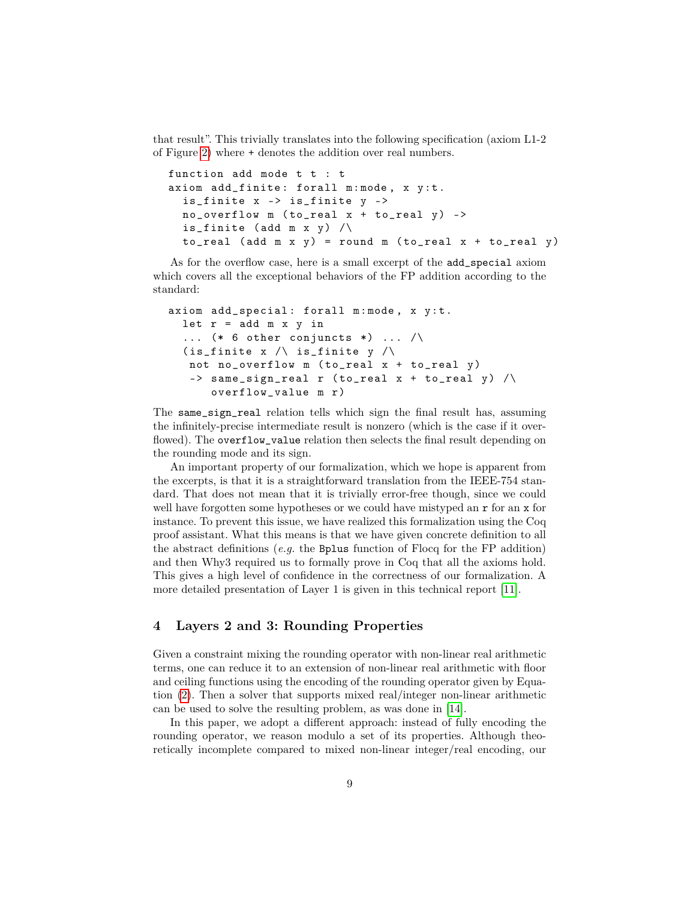that result". This trivially translates into the following specification (axiom L1-2 of Figure 2) where + denotes the addition over real numbers.

```
function add mode t t : t
axiom add_finite: forall m:mode, x y:t.
  is_finite x -> is_finite y ->
  no\_overflow m (to\_real x + to_real y) ->
  is_finite (add m x y) \wedgeto real (add m x y) = round m (to real x + to real y)
```
As for the overflow case, here is a small excerpt of the add\_special axiom which covers all the exceptional behaviors of the FP addition according to the standard:

```
axiom add_special: forall m:mode, x y:t.
  let r = add m x y in\ldots (* 6 other conjuncts *) \ldots /
  (is_finite x /\backslash is_finite y /\backslashnot no_overflow m (to_real x + to_real y)
   \rightarrow same_sign_real r (to_real x + to_real y) /\
       overflow_value m r)
```
The same\_sign\_real relation tells which sign the final result has, assuming the infinitely-precise intermediate result is nonzero (which is the case if it overflowed). The overflow\_value relation then selects the final result depending on the rounding mode and its sign.

An important property of our formalization, which we hope is apparent from the excerpts, is that it is a straightforward translation from the IEEE-754 standard. That does not mean that it is trivially error-free though, since we could well have forgotten some hypotheses or we could have mistyped an  $r$  for an  $x$  for instance. To prevent this issue, we have realized this formalization using the Coq proof assistant. What this means is that we have given concrete definition to all the abstract definitions (*e.g.* the Bplus function of Flocq for the FP addition) and then Why3 required us to formally prove in Coq that all the axioms hold. This gives a high level of confidence in the correctness of our formalization. A more detailed presentation of Layer 1 is given in this technical report [11].

# **4 Layers 2 and 3: Rounding Properties**

Given a constraint mixing the rounding operator with non-linear real arithmetic terms, one can reduce it to an extension of non-linear real arithmetic with floor and ceiling functions using the encoding of the rounding operator given by Equation (2). Then a solver that supports mixed real/integer non-linear arithmetic can be used to solve the resulting problem, as was done in [14].

In this paper, we adopt a different approach: instead of fully encoding the rounding operator, we reason modulo a set of its properties. Although theoretically incomplete compared to mixed non-linear integer/real encoding, our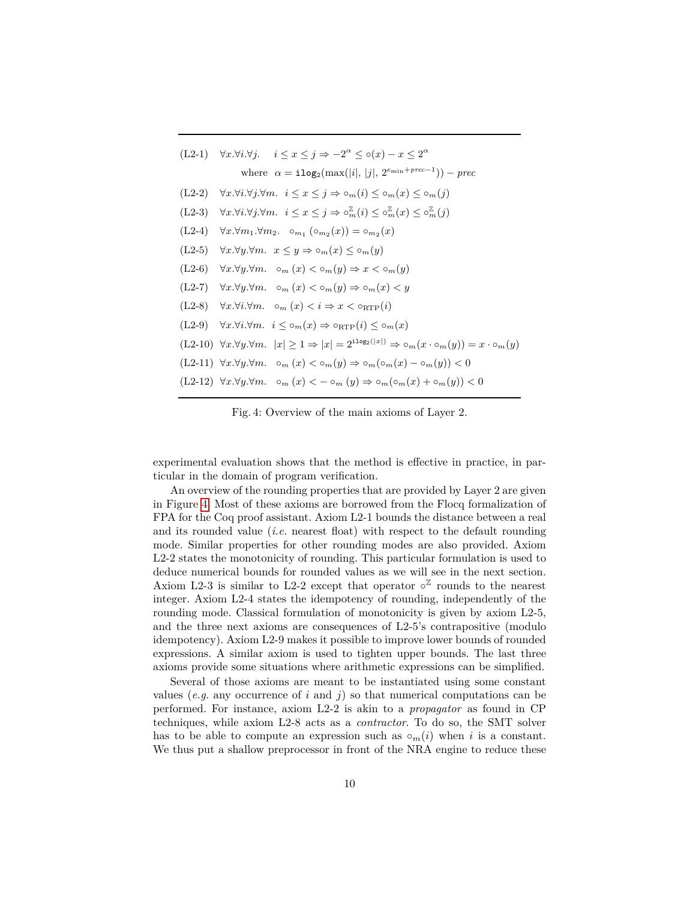| $(L2-1)$ $\forall x.\forall i.\forall j.$ $i \leq x \leq j \Rightarrow -2^{\alpha} \leq o(x) - x \leq 2^{\alpha}$                            |
|----------------------------------------------------------------------------------------------------------------------------------------------|
| where $\alpha = \texttt{ilog}_2(\max( i ,  j , 2^{e_{\min} + prec-1})) - prec$                                                               |
| $(L2-2)$ $\forall x.\forall i.\forall j.\forall m.$ $i \leq x \leq j \Rightarrow o_m(i) \leq o_m(x) \leq o_m(j)$                             |
| $(L2-3)$ $\forall x.\forall i.\forall j.\forall m.$ $i \leq x \leq j \Rightarrow \circ_m^{Z}(i) \leq \circ_m^{Z}(x) \leq \circ_m^{Z}(j)$     |
| $(L2-4)$ $\forall x.\forall m_1.\forall m_2.$ $\circ_{m_1} (\circ_{m_2} (x)) = \circ_{m_2} (x)$                                              |
| $(L2-5)$ $\forall x.\forall y.\forall m.\ x \leq y \Rightarrow \circ_m(x) \leq \circ_m(y)$                                                   |
| $(L2-6)$ $\forall x.\forall y.\forall m.$ $\circ_m(x) < \circ_m(y) \Rightarrow x < \circ_m(y)$                                               |
| $(L2-7)$ $\forall x.\forall y.\forall m.$ $\circ_m(x) < \circ_m(y) \Rightarrow \circ_m(x) < y$                                               |
| (L2-8) $\forall x.\forall i.\forall m.\quad \circ_m(x) < i \Rightarrow x < \circ_{\text{RTP}}(i)$                                            |
| $(L2-9)$ $\forall x.\forall i.\forall m.\ \ i \leq \circ_m(x) \Rightarrow \circ_{RTP}(i) \leq \circ_m(x)$                                    |
| $(L2-10)$ $\forall x.\forall y.\forall m.$ $ x  \geq 1 \Rightarrow  x  = 2^{i \log_2( x )} \Rightarrow o_m(x \cdot o_m(y)) = x \cdot o_m(y)$ |
| $(L2-11) \ \forall x.\forall y.\forall m. \quad \circ_m(x) < \circ_m(y) \Rightarrow \circ_m(\circ_m(x) - \circ_m(y)) < 0$                    |
| $(L2-12) \ \forall x.\forall y.\forall m. \quad \circ_m(x) < -\circ_m(y) \Rightarrow \circ_m(\circ_m(x) + \circ_m(y)) < 0$                   |
|                                                                                                                                              |

Fig. 4: Overview of the main axioms of Layer 2.

experimental evaluation shows that the method is effective in practice, in particular in the domain of program verification.

An overview of the rounding properties that are provided by Layer 2 are given in Figure 4. Most of these axioms are borrowed from the Flocq formalization of FPA for the Coq proof assistant. Axiom L2-1 bounds the distance between a real and its rounded value (*i.e.* nearest float) with respect to the default rounding mode. Similar properties for other rounding modes are also provided. Axiom L2-2 states the monotonicity of rounding. This particular formulation is used to deduce numerical bounds for rounded values as we will see in the next section. Axiom L2-3 is similar to L2-2 except that operator  $\circ^{\mathbb{Z}}$  rounds to the nearest integer. Axiom L2-4 states the idempotency of rounding, independently of the rounding mode. Classical formulation of monotonicity is given by axiom L2-5, and the three next axioms are consequences of L2-5's contrapositive (modulo idempotency). Axiom L2-9 makes it possible to improve lower bounds of rounded expressions. A similar axiom is used to tighten upper bounds. The last three axioms provide some situations where arithmetic expressions can be simplified.

Several of those axioms are meant to be instantiated using some constant values (*e.g.* any occurrence of *i* and *j*) so that numerical computations can be performed. For instance, axiom L2-2 is akin to a *propagator* as found in CP techniques, while axiom L2-8 acts as a *contractor*. To do so, the SMT solver has to be able to compute an expression such as  $\circ_m(i)$  when *i* is a constant. We thus put a shallow preprocessor in front of the NRA engine to reduce these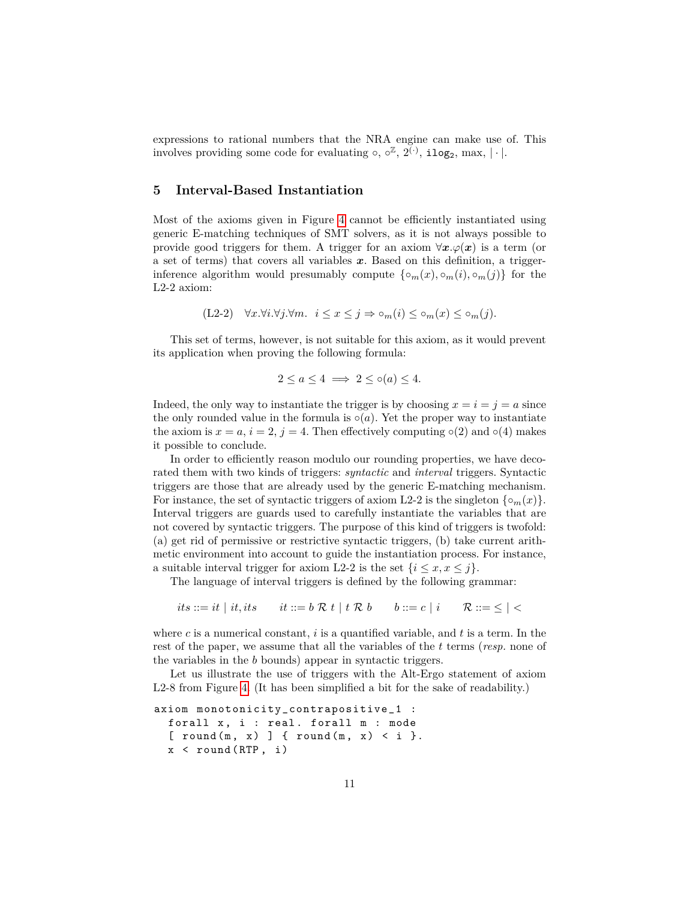expressions to rational numbers that the NRA engine can make use of. This involves providing some code for evaluating  $\circ$ ,  $\circ^{\mathbb{Z}}, 2^{\tilde{(\cdot)}}$ , ilog<sub>2</sub>, max,  $|\cdot|$ .

### **5 Interval-Based Instantiation**

Most of the axioms given in Figure 4 cannot be efficiently instantiated using generic E-matching techniques of SMT solvers, as it is not always possible to provide good triggers for them. A trigger for an axiom  $\forall x.\varphi(x)$  is a term (or a set of terms) that covers all variables *x*. Based on this definition, a triggerinference algorithm would presumably compute  $\{\circ_m(x), \circ_m(i), \circ_m(j)\}$  for the L2-2 axiom:

 $(L2-2)$   $\forall x.\forall i.\forall j.\forall m. \quad i \leq x \leq j \Rightarrow \circ_m(i) \leq \circ_m(x) \leq \circ_m(j).$ 

This set of terms, however, is not suitable for this axiom, as it would prevent its application when proving the following formula:

$$
2 \le a \le 4 \implies 2 \le \circ(a) \le 4.
$$

Indeed, the only way to instantiate the trigger is by choosing  $x = i = j = a$  since the only rounded value in the formula is  $\circ(a)$ . Yet the proper way to instantiate the axiom is  $x = a$ ,  $i = 2$ ,  $j = 4$ . Then effectively computing  $\circ(2)$  and  $\circ(4)$  makes it possible to conclude.

In order to efficiently reason modulo our rounding properties, we have decorated them with two kinds of triggers: *syntactic* and *interval* triggers. Syntactic triggers are those that are already used by the generic E-matching mechanism. For instance, the set of syntactic triggers of axiom L2-2 is the singleton  $\{\circ_m(x)\}\$ . Interval triggers are guards used to carefully instantiate the variables that are not covered by syntactic triggers. The purpose of this kind of triggers is twofold: (a) get rid of permissive or restrictive syntactic triggers, (b) take current arithmetic environment into account to guide the instantiation process. For instance, a suitable interval trigger for axiom L2-2 is the set  $\{i \leq x, x \leq j\}.$ 

The language of interval triggers is defined by the following grammar:

*its* ::= *it* | *it, its it* ::= *b* R *t* | *t* R *b b* ::= *c* | *i* R ::=  $\le$  | <

where *c* is a numerical constant, *i* is a quantified variable, and *t* is a term. In the rest of the paper, we assume that all the variables of the *t* terms (*resp.* none of the variables in the *b* bounds) appear in syntactic triggers.

Let us illustrate the use of triggers with the Alt-Ergo statement of axiom L2-8 from Figure 4. (It has been simplified a bit for the sake of readability.)

```
axiom monotonicity_contrapositive_1 :
  forall x, i : real. forall m : mode
  [ round (m, x) ] { round (m, x) < i }.
  x < round (RTP, i)
```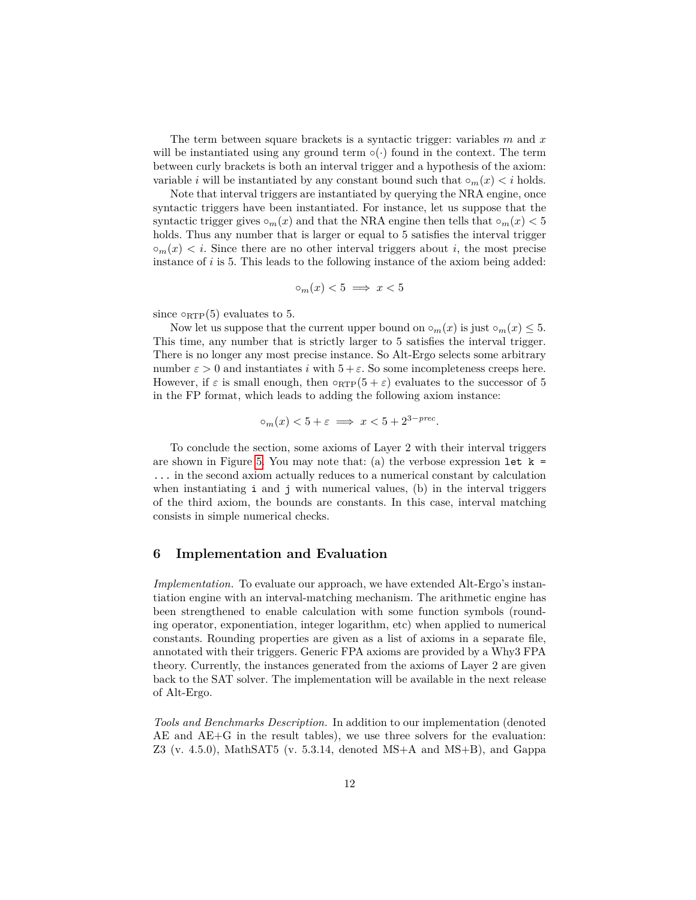The term between square brackets is a syntactic trigger: variables *m* and *x* will be instantiated using any ground term  $\circ(\cdot)$  found in the context. The term between curly brackets is both an interval trigger and a hypothesis of the axiom: variable *i* will be instantiated by any constant bound such that  $\circ_m(x) < i$  holds.

Note that interval triggers are instantiated by querying the NRA engine, once syntactic triggers have been instantiated. For instance, let us suppose that the syntactic trigger gives  $\circ_m(x)$  and that the NRA engine then tells that  $\circ_m(x) < 5$ holds. Thus any number that is larger or equal to 5 satisfies the interval trigger  $\circ_m(x) < i$ . Since there are no other interval triggers about *i*, the most precise instance of *i* is 5. This leads to the following instance of the axiom being added:

$$
\circ_m(x) < 5 \implies x < 5
$$

since  $\circ_{RTP}(5)$  evaluates to 5.

Now let us suppose that the current upper bound on  $\circ_m(x)$  is just  $\circ_m(x) \leq 5$ . This time, any number that is strictly larger to 5 satisfies the interval trigger. There is no longer any most precise instance. So Alt-Ergo selects some arbitrary number  $\varepsilon > 0$  and instantiates *i* with  $5 + \varepsilon$ . So some incompleteness creeps here. However, if  $\varepsilon$  is small enough, then  $\circ_{RTP}(5 + \varepsilon)$  evaluates to the successor of 5 in the FP format, which leads to adding the following axiom instance:

$$
\circ_m(x) < 5 + \varepsilon \implies x < 5 + 2^{3 - prec}.
$$

To conclude the section, some axioms of Layer 2 with their interval triggers are shown in Figure 5. You may note that: (a) the verbose expression let  $k =$ ... in the second axiom actually reduces to a numerical constant by calculation when instantiating  $\mathbf{i}$  and  $\mathbf{j}$  with numerical values, (b) in the interval triggers of the third axiom, the bounds are constants. In this case, interval matching consists in simple numerical checks.

#### **6 Implementation and Evaluation**

*Implementation.* To evaluate our approach, we have extended Alt-Ergo's instantiation engine with an interval-matching mechanism. The arithmetic engine has been strengthened to enable calculation with some function symbols (rounding operator, exponentiation, integer logarithm, etc) when applied to numerical constants. Rounding properties are given as a list of axioms in a separate file, annotated with their triggers. Generic FPA axioms are provided by a Why3 FPA theory. Currently, the instances generated from the axioms of Layer 2 are given back to the SAT solver. The implementation will be available in the next release of Alt-Ergo.

*Tools and Benchmarks Description.* In addition to our implementation (denoted AE and AE+G in the result tables), we use three solvers for the evaluation: Z3 (v. 4.5.0), MathSAT5 (v. 5.3.14, denoted MS+A and MS+B), and Gappa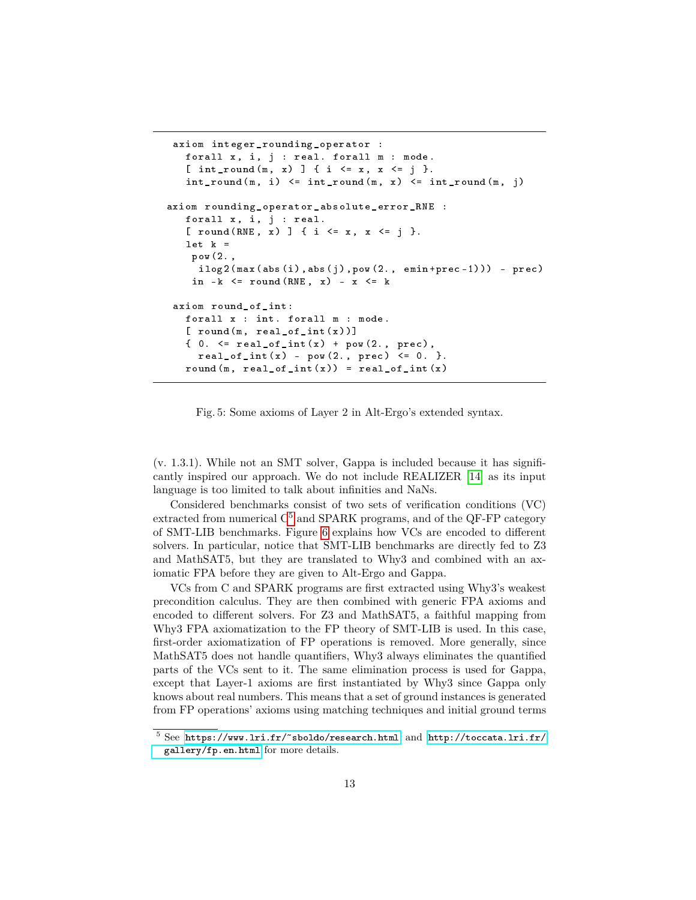```
axiom integer_rounding_operator :
  forall x, i, j : real. forall m : mode.
   [ int_round (m, x) ] { i <= x, x <= j }.
   int\_round(m, i) \le int\_round(m, x) \le int\_round(m, j)axiom rounding_operator_absolute_error_RNE :
   forall x, i, j : real.
   [ round(RNE, x) ] { i \leq x, x \leq j }.
   let k =pow (2. ,
     ilog2(max(abs(i),abs(j),pow(2., emin+prec-1))) - prec)
    in -k \le round (RNE, x) - x \le k
axiom round_of_int :
   forall x : int. forall m : mode.
   [ round (m, real_of_int (x))]{0. <= real_of_info(x) + pow(2., prec),real_of_info(x) - pow(2., prec) <= 0.round (m, real_of_info(x)) = real_of_info(x)
```
Fig. 5: Some axioms of Layer 2 in Alt-Ergo's extended syntax.

(v. 1.3.1). While not an SMT solver, Gappa is included because it has significantly inspired our approach. We do not include REALIZER [14] as its input language is too limited to talk about infinities and NaNs.

Considered benchmarks consist of two sets of verification conditions (VC) extracted from numerical  $C^5$  and SPARK programs, and of the QF-FP category of SMT-LIB benchmarks. Figure 6 explains how VCs are encoded to different solvers. In particular, notice that SMT-LIB benchmarks are directly fed to Z3 and MathSAT5, but they are translated to Why3 and combined with an axiomatic FPA before they are given to Alt-Ergo and Gappa.

VCs from C and SPARK programs are first extracted using Why3's weakest precondition calculus. They are then combined with generic FPA axioms and encoded to different solvers. For Z3 and MathSAT5, a faithful mapping from Why3 FPA axiomatization to the FP theory of SMT-LIB is used. In this case, first-order axiomatization of FP operations is removed. More generally, since MathSAT5 does not handle quantifiers, Why3 always eliminates the quantified parts of the VCs sent to it. The same elimination process is used for Gappa, except that Layer-1 axioms are first instantiated by Why3 since Gappa only knows about real numbers. This means that a set of ground instances is generated from FP operations' axioms using matching techniques and initial ground terms

 $^5$  See <https://www.lri.fr/~sboldo/research.html> and [http://toccata.lri.fr/](http://toccata.lri.fr/gallery/fp.en.html) [gallery/fp.en.html](http://toccata.lri.fr/gallery/fp.en.html) for more details.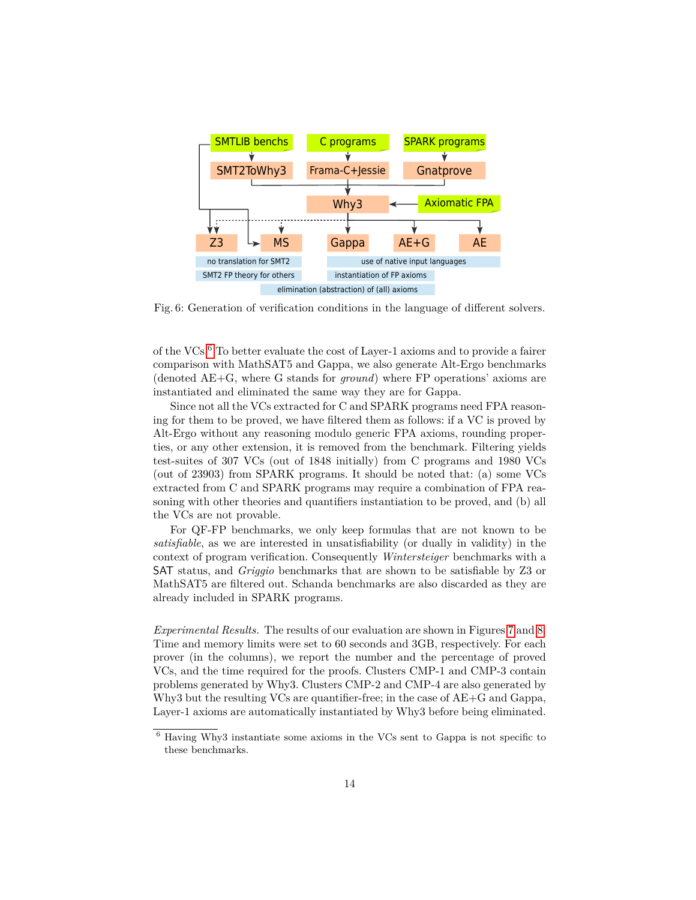

Fig. 6: Generation of verification conditions in the language of different solvers.

of the VCs.6 To better evaluate the cost of Layer-1 axioms and to provide a fairer comparison with MathSAT5 and Gappa, we also generate Alt-Ergo benchmarks (denoted AE+G, where G stands for *ground*) where FP operations' axioms are instantiated and eliminated the same way they are for Gappa.

Since not all the VCs extracted for C and SPARK programs need FPA reasoning for them to be proved, we have filtered them as follows: if a VC is proved by Alt-Ergo without any reasoning modulo generic FPA axioms, rounding properties, or any other extension, it is removed from the benchmark. Filtering yields test-suites of 307 VCs (out of 1848 initially) from C programs and 1980 VCs (out of 23903) from SPARK programs. It should be noted that: (a) some VCs extracted from C and SPARK programs may require a combination of FPA reasoning with other theories and quantifiers instantiation to be proved, and (b) all the VCs are not provable.

For QF-FP benchmarks, we only keep formulas that are not known to be *satisfiable*, as we are interested in unsatisfiability (or dually in validity) in the context of program verification. Consequently *Wintersteiger* benchmarks with a SAT status, and *Griggio* benchmarks that are shown to be satisfiable by Z3 or MathSAT5 are filtered out. Schanda benchmarks are also discarded as they are already included in SPARK programs.

*Experimental Results.* The results of our evaluation are shown in Figures 7 and 8. Time and memory limits were set to 60 seconds and 3GB, respectively. For each prover (in the columns), we report the number and the percentage of proved VCs, and the time required for the proofs. Clusters CMP-1 and CMP-3 contain problems generated by Why3. Clusters CMP-2 and CMP-4 are also generated by Why3 but the resulting VCs are quantifier-free; in the case of AE+G and Gappa, Layer-1 axioms are automatically instantiated by Why3 before being eliminated.

<sup>6</sup> Having Why3 instantiate some axioms in the VCs sent to Gappa is not specific to these benchmarks.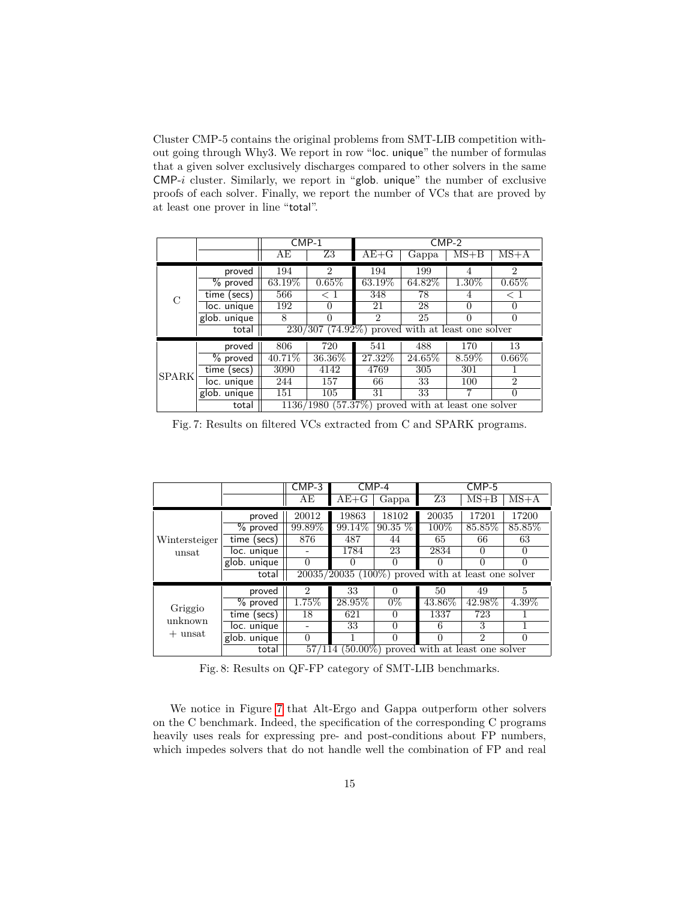Cluster CMP-5 contains the original problems from SMT-LIB competition without going through Why3. We report in row "loc. unique" the number of formulas that a given solver exclusively discharges compared to other solvers in the same CMP-*i* cluster. Similarly, we report in "glob. unique" the number of exclusive proofs of each solver. Finally, we report the number of VCs that are proved by at least one prover in line "total".

|              |                 | $CMP-1$                                              |                | $CMP-2$        |         |          |                |  |  |
|--------------|-----------------|------------------------------------------------------|----------------|----------------|---------|----------|----------------|--|--|
|              |                 | AE                                                   | Z3             | $AE+G$         | Gappa   | $MS+B$   | $MS+A$         |  |  |
|              | proved          | 194                                                  | $\overline{2}$ | 194            | 199     | 4        | $\overline{2}$ |  |  |
|              | % proved        | 63.19%                                               | 0.65%          | 63.19%         | 64.82\% | 1.30%    | $0.65\%$       |  |  |
| C            | time (secs)     | 566                                                  | $\leq 1$       | 348            | 78      | 4        | $\rm < 1$      |  |  |
|              | loc. unique     | 192                                                  | 0              | 21             | 28      | $\Omega$ | 0              |  |  |
|              | glob. unique    |                                                      | 0              | $\overline{2}$ | 25      | $\Omega$ | $\theta$       |  |  |
|              | total           | $230/307$ (74.92%) proved with at least one solver   |                |                |         |          |                |  |  |
|              | proved          | 806                                                  | 720            | 541            | 488     | 170      | 13             |  |  |
|              | $%$ proved      | 40.71\%                                              | $36.36\%$      | 27.32\%        | 24.65%  | $8.59\%$ | $0.66\%$       |  |  |
| <b>SPARK</b> | time (secs)     | 3090                                                 | 4142           | 4769           | 305     | 301      |                |  |  |
|              | loc. unique     | 244                                                  | 157            | 66             | 33      | 100      | $\overline{2}$ |  |  |
|              | $g$ lob. unique | 151                                                  | 105            | 31             | 33      |          | $\Omega$       |  |  |
|              | total           | $1136/1980$ (57.37%) proved with at least one solver |                |                |         |          |                |  |  |

Fig. 7: Results on filtered VCs extracted from C and SPARK programs.

|               |              | $CMP-4$<br>$CMP-3$                                   |          | $CMP-5$   |           |                |          |  |
|---------------|--------------|------------------------------------------------------|----------|-----------|-----------|----------------|----------|--|
|               |              | AЕ                                                   | $AE + G$ | Gappa     | Z3        | $MS+B$         | $MS+A$   |  |
|               | proved       | 20012                                                | 19863    | 18102     | 20035     | 17201          | 17200    |  |
|               | % proved     | 99.89%                                               | 99.14\%  | $90.35\%$ | 100%      | 85.85%         | 85.85%   |  |
| Wintersteiger | time (secs)  | 876                                                  | 487      | 44        | 65        | 66             | 63       |  |
| unsat         | loc. unique  |                                                      | 1784     | 23        | 2834      | $\theta$       | $\theta$ |  |
|               | glob. unique | $\Omega$                                             |          | $\Omega$  | 0         | 0              | $\theta$ |  |
|               | total        | $20035/20035$ (100%) proved with at least one solver |          |           |           |                |          |  |
|               | proved       | $\overline{2}$                                       | 33       | $\theta$  | 50        | 49             | 5        |  |
| Griggio       | $%$ proved   | $1.75\%$                                             | 28.95%   | $0\%$     | $43.86\%$ | 42.98%         | $4.39\%$ |  |
| unknown       | time (secs)  | 18                                                   | 621      | 0         | 1337      | 723            |          |  |
|               | loc. unique  |                                                      | 33       | $\Omega$  | 6         | 3              |          |  |
| $+$ unsat     | glob. unique | $\Omega$                                             |          | $\theta$  | $\Omega$  | $\mathfrak{D}$ | $\theta$ |  |
|               | total        | $57/114$ (50.00%) proved with at least one solver    |          |           |           |                |          |  |

Fig. 8: Results on QF-FP category of SMT-LIB benchmarks.

We notice in Figure 7 that Alt-Ergo and Gappa outperform other solvers on the C benchmark. Indeed, the specification of the corresponding C programs heavily uses reals for expressing pre- and post-conditions about FP numbers, which impedes solvers that do not handle well the combination of FP and real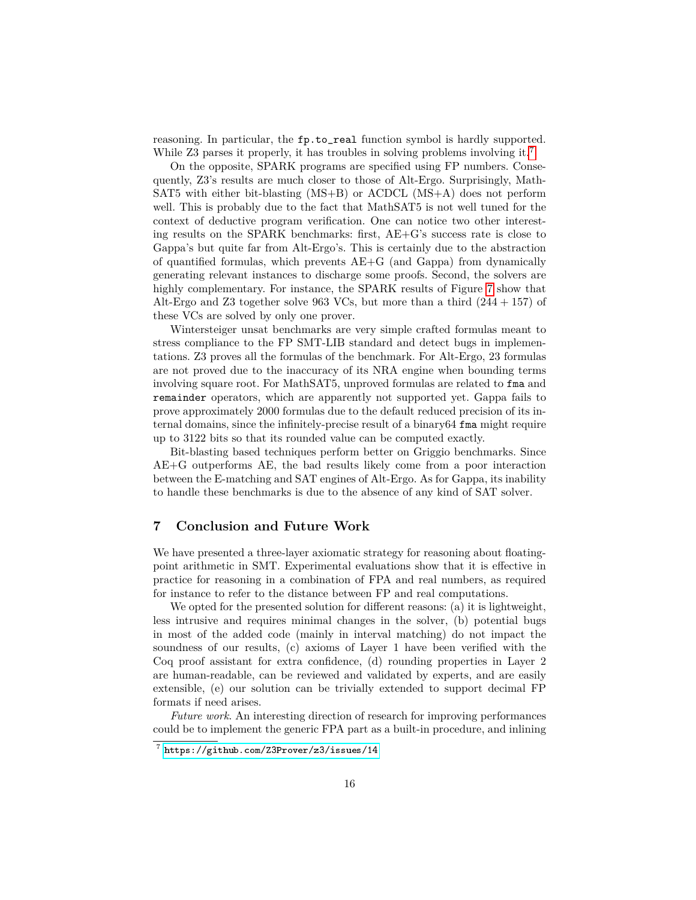reasoning. In particular, the fp.to\_real function symbol is hardly supported. While Z3 parses it properly, it has troubles in solving problems involving it.<sup>7</sup>

On the opposite, SPARK programs are specified using FP numbers. Consequently, Z3's results are much closer to those of Alt-Ergo. Surprisingly, Math-SAT5 with either bit-blasting (MS+B) or ACDCL (MS+A) does not perform well. This is probably due to the fact that MathSAT5 is not well tuned for the context of deductive program verification. One can notice two other interesting results on the SPARK benchmarks: first, AE+G's success rate is close to Gappa's but quite far from Alt-Ergo's. This is certainly due to the abstraction of quantified formulas, which prevents AE+G (and Gappa) from dynamically generating relevant instances to discharge some proofs. Second, the solvers are highly complementary. For instance, the SPARK results of Figure 7 show that Alt-Ergo and Z3 together solve 963 VCs, but more than a third  $(244 + 157)$  of these VCs are solved by only one prover.

Wintersteiger unsat benchmarks are very simple crafted formulas meant to stress compliance to the FP SMT-LIB standard and detect bugs in implementations. Z3 proves all the formulas of the benchmark. For Alt-Ergo, 23 formulas are not proved due to the inaccuracy of its NRA engine when bounding terms involving square root. For MathSAT5, unproved formulas are related to fma and remainder operators, which are apparently not supported yet. Gappa fails to prove approximately 2000 formulas due to the default reduced precision of its internal domains, since the infinitely-precise result of a binary64 fma might require up to 3122 bits so that its rounded value can be computed exactly.

Bit-blasting based techniques perform better on Griggio benchmarks. Since AE+G outperforms AE, the bad results likely come from a poor interaction between the E-matching and SAT engines of Alt-Ergo. As for Gappa, its inability to handle these benchmarks is due to the absence of any kind of SAT solver.

#### **7 Conclusion and Future Work**

We have presented a three-layer axiomatic strategy for reasoning about floatingpoint arithmetic in SMT. Experimental evaluations show that it is effective in practice for reasoning in a combination of FPA and real numbers, as required for instance to refer to the distance between FP and real computations.

We opted for the presented solution for different reasons: (a) it is lightweight, less intrusive and requires minimal changes in the solver, (b) potential bugs in most of the added code (mainly in interval matching) do not impact the soundness of our results, (c) axioms of Layer 1 have been verified with the Coq proof assistant for extra confidence, (d) rounding properties in Layer 2 are human-readable, can be reviewed and validated by experts, and are easily extensible, (e) our solution can be trivially extended to support decimal FP formats if need arises.

*Future work*. An interesting direction of research for improving performances could be to implement the generic FPA part as a built-in procedure, and inlining

<sup>7</sup> <https://github.com/Z3Prover/z3/issues/14>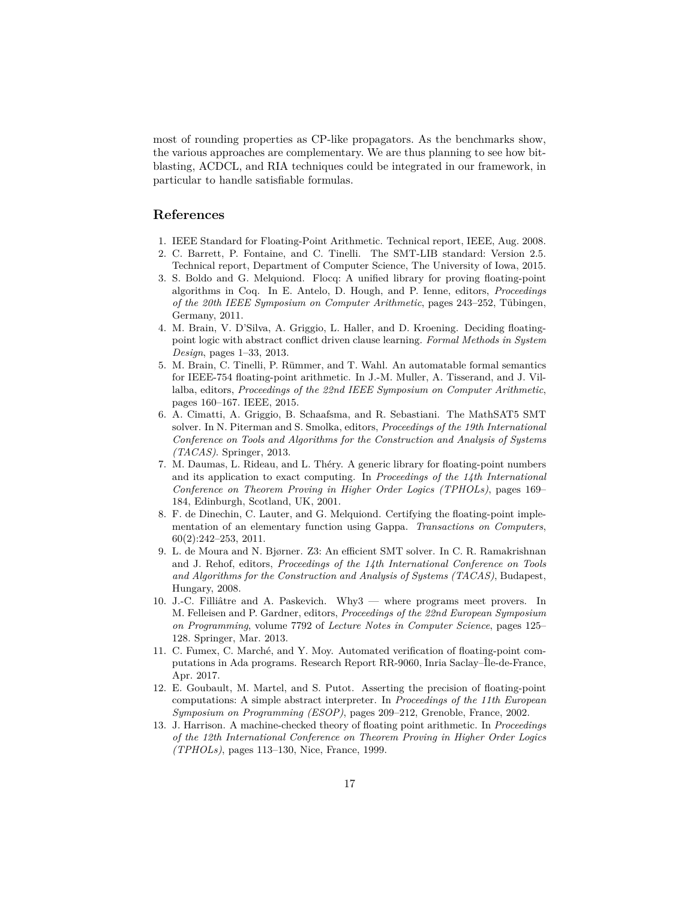most of rounding properties as CP-like propagators. As the benchmarks show, the various approaches are complementary. We are thus planning to see how bitblasting, ACDCL, and RIA techniques could be integrated in our framework, in particular to handle satisfiable formulas.

## **References**

- 1. IEEE Standard for Floating-Point Arithmetic. Technical report, IEEE, Aug. 2008.
- 2. C. Barrett, P. Fontaine, and C. Tinelli. The SMT-LIB standard: Version 2.5. Technical report, Department of Computer Science, The University of Iowa, 2015.
- 3. S. Boldo and G. Melquiond. Flocq: A unified library for proving floating-point algorithms in Coq. In E. Antelo, D. Hough, and P. Ienne, editors, *Proceedings of the 20th IEEE Symposium on Computer Arithmetic*, pages 243–252, Tübingen, Germany, 2011.
- 4. M. Brain, V. D'Silva, A. Griggio, L. Haller, and D. Kroening. Deciding floatingpoint logic with abstract conflict driven clause learning. *Formal Methods in System Design*, pages 1–33, 2013.
- 5. M. Brain, C. Tinelli, P. Rümmer, and T. Wahl. An automatable formal semantics for IEEE-754 floating-point arithmetic. In J.-M. Muller, A. Tisserand, and J. Villalba, editors, *Proceedings of the 22nd IEEE Symposium on Computer Arithmetic*, pages 160–167. IEEE, 2015.
- 6. A. Cimatti, A. Griggio, B. Schaafsma, and R. Sebastiani. The MathSAT5 SMT solver. In N. Piterman and S. Smolka, editors, *Proceedings of the 19th International Conference on Tools and Algorithms for the Construction and Analysis of Systems (TACAS)*. Springer, 2013.
- 7. M. Daumas, L. Rideau, and L. Théry. A generic library for floating-point numbers and its application to exact computing. In *Proceedings of the 14th International Conference on Theorem Proving in Higher Order Logics (TPHOLs)*, pages 169– 184, Edinburgh, Scotland, UK, 2001.
- 8. F. de Dinechin, C. Lauter, and G. Melquiond. Certifying the floating-point implementation of an elementary function using Gappa. *Transactions on Computers*, 60(2):242–253, 2011.
- 9. L. de Moura and N. Bjørner. Z3: An efficient SMT solver. In C. R. Ramakrishnan and J. Rehof, editors, *Proceedings of the 14th International Conference on Tools and Algorithms for the Construction and Analysis of Systems (TACAS)*, Budapest, Hungary, 2008.
- 10. J.-C. Filliâtre and A. Paskevich. Why3 where programs meet provers. In M. Felleisen and P. Gardner, editors, *Proceedings of the 22nd European Symposium on Programming*, volume 7792 of *Lecture Notes in Computer Science*, pages 125– 128. Springer, Mar. 2013.
- 11. C. Fumex, C. Marché, and Y. Moy. Automated verification of floating-point computations in Ada programs. Research Report RR-9060, Inria Saclay–Île-de-France, Apr. 2017.
- 12. E. Goubault, M. Martel, and S. Putot. Asserting the precision of floating-point computations: A simple abstract interpreter. In *Proceedings of the 11th European Symposium on Programming (ESOP)*, pages 209–212, Grenoble, France, 2002.
- 13. J. Harrison. A machine-checked theory of floating point arithmetic. In *Proceedings of the 12th International Conference on Theorem Proving in Higher Order Logics (TPHOLs)*, pages 113–130, Nice, France, 1999.